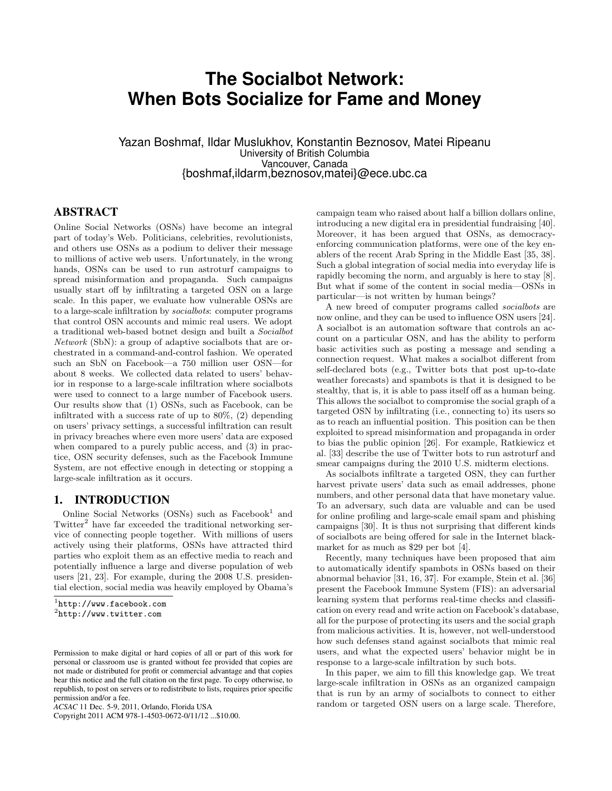# **The Socialbot Network: When Bots Socialize for Fame and Money**

Yazan Boshmaf, Ildar Muslukhov, Konstantin Beznosov, Matei Ripeanu University of British Columbia Vancouver, Canada {boshmaf,ildarm,beznosov,matei}@ece.ubc.ca

# ABSTRACT

Online Social Networks (OSNs) have become an integral part of today's Web. Politicians, celebrities, revolutionists, and others use OSNs as a podium to deliver their message to millions of active web users. Unfortunately, in the wrong hands, OSNs can be used to run astroturf campaigns to spread misinformation and propaganda. Such campaigns usually start off by infiltrating a targeted OSN on a large scale. In this paper, we evaluate how vulnerable OSNs are to a large-scale infiltration by socialbots: computer programs that control OSN accounts and mimic real users. We adopt a traditional web-based botnet design and built a Socialbot Network (SbN): a group of adaptive socialbots that are orchestrated in a command-and-control fashion. We operated such an SbN on Facebook—a 750 million user OSN—for about 8 weeks. We collected data related to users' behavior in response to a large-scale infiltration where socialbots were used to connect to a large number of Facebook users. Our results show that (1) OSNs, such as Facebook, can be infiltrated with a success rate of up to 80%, (2) depending on users' privacy settings, a successful infiltration can result in privacy breaches where even more users' data are exposed when compared to a purely public access, and (3) in practice, OSN security defenses, such as the Facebook Immune System, are not effective enough in detecting or stopping a large-scale infiltration as it occurs.

# 1. INTRODUCTION

Online Social Networks (OSNs) such as  $Facebook<sup>1</sup>$  and  $Twitter<sup>2</sup>$  have far exceeded the traditional networking service of connecting people together. With millions of users actively using their platforms, OSNs have attracted third parties who exploit them as an effective media to reach and potentially influence a large and diverse population of web users [21, 23]. For example, during the 2008 U.S. presidential election, social media was heavily employed by Obama's campaign team who raised about half a billion dollars online, introducing a new digital era in presidential fundraising [40]. Moreover, it has been argued that OSNs, as democracyenforcing communication platforms, were one of the key enablers of the recent Arab Spring in the Middle East [35, 38]. Such a global integration of social media into everyday life is rapidly becoming the norm, and arguably is here to stay [8]. But what if some of the content in social media—OSNs in particular—is not written by human beings?

A new breed of computer programs called socialbots are now online, and they can be used to influence OSN users [24]. A socialbot is an automation software that controls an account on a particular OSN, and has the ability to perform basic activities such as posting a message and sending a connection request. What makes a socialbot different from self-declared bots (e.g., Twitter bots that post up-to-date weather forecasts) and spambots is that it is designed to be stealthy, that is, it is able to pass itself off as a human being. This allows the socialbot to compromise the social graph of a targeted OSN by infiltrating (i.e., connecting to) its users so as to reach an influential position. This position can be then exploited to spread misinformation and propaganda in order to bias the public opinion [26]. For example, Ratkiewicz et al. [33] describe the use of Twitter bots to run astroturf and smear campaigns during the 2010 U.S. midterm elections.

As socialbots infiltrate a targeted OSN, they can further harvest private users' data such as email addresses, phone numbers, and other personal data that have monetary value. To an adversary, such data are valuable and can be used for online profiling and large-scale email spam and phishing campaigns [30]. It is thus not surprising that different kinds of socialbots are being offered for sale in the Internet blackmarket for as much as \$29 per bot [4].

Recently, many techniques have been proposed that aim to automatically identify spambots in OSNs based on their abnormal behavior [31, 16, 37]. For example, Stein et al. [36] present the Facebook Immune System (FIS): an adversarial learning system that performs real-time checks and classification on every read and write action on Facebook's database, all for the purpose of protecting its users and the social graph from malicious activities. It is, however, not well-understood how such defenses stand against socialbots that mimic real users, and what the expected users' behavior might be in response to a large-scale infiltration by such bots.

In this paper, we aim to fill this knowledge gap. We treat large-scale infiltration in OSNs as an organized campaign that is run by an army of socialbots to connect to either random or targeted OSN users on a large scale. Therefore,

<sup>1</sup> http://www.facebook.com

<sup>2</sup> http://www.twitter.com

Permission to make digital or hard copies of all or part of this work for personal or classroom use is granted without fee provided that copies are not made or distributed for profit or commercial advantage and that copies bear this notice and the full citation on the first page. To copy otherwise, to republish, to post on servers or to redistribute to lists, requires prior specific permission and/or a fee.

*ACSAC* 11 Dec. 5-9, 2011, Orlando, Florida USA

Copyright 2011 ACM 978-1-4503-0672-0/11/12 ...\$10.00.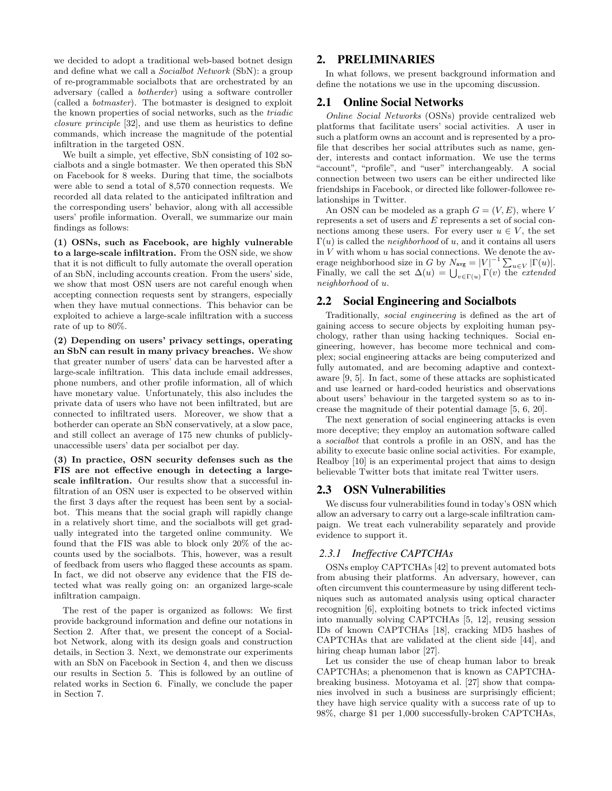we decided to adopt a traditional web-based botnet design and define what we call a Socialbot Network (SbN): a group of re-programmable socialbots that are orchestrated by an adversary (called a botherder) using a software controller (called a botmaster). The botmaster is designed to exploit the known properties of social networks, such as the triadic closure principle [32], and use them as heuristics to define commands, which increase the magnitude of the potential infiltration in the targeted OSN.

We built a simple, yet effective, SbN consisting of 102 socialbots and a single botmaster. We then operated this SbN on Facebook for 8 weeks. During that time, the socialbots were able to send a total of 8,570 connection requests. We recorded all data related to the anticipated infiltration and the corresponding users' behavior, along with all accessible users' profile information. Overall, we summarize our main findings as follows:

(1) OSNs, such as Facebook, are highly vulnerable to a large-scale infiltration. From the OSN side, we show that it is not difficult to fully automate the overall operation of an SbN, including accounts creation. From the users' side, we show that most OSN users are not careful enough when accepting connection requests sent by strangers, especially when they have mutual connections. This behavior can be exploited to achieve a large-scale infiltration with a success rate of up to 80%.

(2) Depending on users' privacy settings, operating an SbN can result in many privacy breaches. We show that greater number of users' data can be harvested after a large-scale infiltration. This data include email addresses, phone numbers, and other profile information, all of which have monetary value. Unfortunately, this also includes the private data of users who have not been infiltrated, but are connected to infiltrated users. Moreover, we show that a botherder can operate an SbN conservatively, at a slow pace, and still collect an average of 175 new chunks of publiclyunaccessible users' data per socialbot per day.

(3) In practice, OSN security defenses such as the FIS are not effective enough in detecting a largescale infiltration. Our results show that a successful infiltration of an OSN user is expected to be observed within the first 3 days after the request has been sent by a socialbot. This means that the social graph will rapidly change in a relatively short time, and the socialbots will get gradually integrated into the targeted online community. We found that the FIS was able to block only 20% of the accounts used by the socialbots. This, however, was a result of feedback from users who flagged these accounts as spam. In fact, we did not observe any evidence that the FIS detected what was really going on: an organized large-scale infiltration campaign.

The rest of the paper is organized as follows: We first provide background information and define our notations in Section 2. After that, we present the concept of a Socialbot Network, along with its design goals and construction details, in Section 3. Next, we demonstrate our experiments with an SbN on Facebook in Section 4, and then we discuss our results in Section 5. This is followed by an outline of related works in Section 6. Finally, we conclude the paper in Section 7.

# 2. PRELIMINARIES

In what follows, we present background information and define the notations we use in the upcoming discussion.

# 2.1 Online Social Networks

Online Social Networks (OSNs) provide centralized web platforms that facilitate users' social activities. A user in such a platform owns an account and is represented by a profile that describes her social attributes such as name, gender, interests and contact information. We use the terms "account", "profile", and "user" interchangeably. A social connection between two users can be either undirected like friendships in Facebook, or directed like follower-followee relationships in Twitter.

An OSN can be modeled as a graph  $G = (V, E)$ , where V represents a set of users and E represents a set of social connections among these users. For every user  $u \in V$ , the set  $\Gamma(u)$  is called the *neighborhood* of u, and it contains all users in  $V$  with whom  $u$  has social connections. We denote the average neighborhood size in G by  $N_{\text{avg}} = |V|^{-1} \sum_{u \in V} |\Gamma(u)|$ . Finally, we call the set  $\Delta(u) = \bigcup_{v \in \Gamma(u)} \Gamma(v)$  the *extended* neighborhood of u.

# 2.2 Social Engineering and Socialbots

Traditionally, social engineering is defined as the art of gaining access to secure objects by exploiting human psychology, rather than using hacking techniques. Social engineering, however, has become more technical and complex; social engineering attacks are being computerized and fully automated, and are becoming adaptive and contextaware [9, 5]. In fact, some of these attacks are sophisticated and use learned or hard-coded heuristics and observations about users' behaviour in the targeted system so as to increase the magnitude of their potential damage [5, 6, 20].

The next generation of social engineering attacks is even more deceptive; they employ an automation software called a socialbot that controls a profile in an OSN, and has the ability to execute basic online social activities. For example, Realboy [10] is an experimental project that aims to design believable Twitter bots that imitate real Twitter users.

## 2.3 OSN Vulnerabilities

We discuss four vulnerabilities found in today's OSN which allow an adversary to carry out a large-scale infiltration campaign. We treat each vulnerability separately and provide evidence to support it.

#### *2.3.1 Ineffective CAPTCHAs*

OSNs employ CAPTCHAs [42] to prevent automated bots from abusing their platforms. An adversary, however, can often circumvent this countermeasure by using different techniques such as automated analysis using optical character recognition [6], exploiting botnets to trick infected victims into manually solving CAPTCHAs [5, 12], reusing session IDs of known CAPTCHAs [18], cracking MD5 hashes of CAPTCHAs that are validated at the client side [44], and hiring cheap human labor [27].

Let us consider the use of cheap human labor to break CAPTCHAs; a phenomenon that is known as CAPTCHAbreaking business. Motoyama et al. [27] show that companies involved in such a business are surprisingly efficient; they have high service quality with a success rate of up to 98%, charge \$1 per 1,000 successfully-broken CAPTCHAs,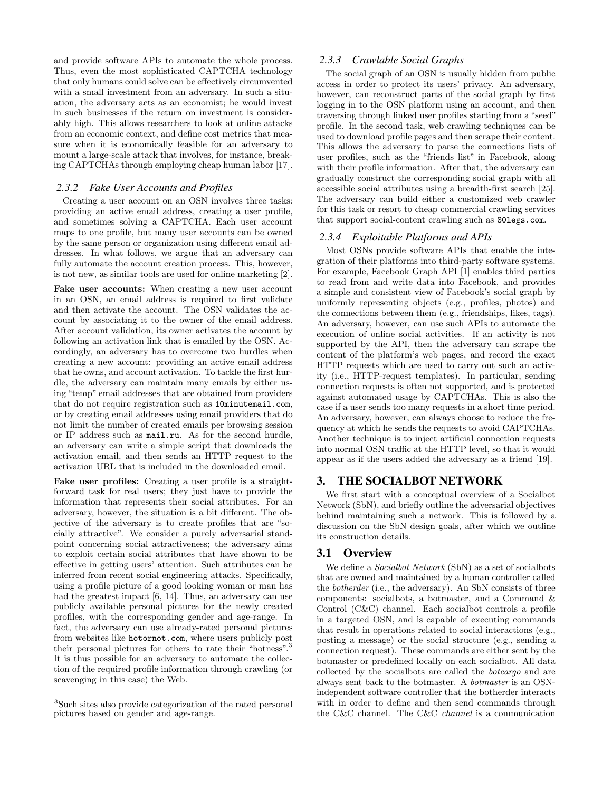and provide software APIs to automate the whole process. Thus, even the most sophisticated CAPTCHA technology that only humans could solve can be effectively circumvented with a small investment from an adversary. In such a situation, the adversary acts as an economist; he would invest in such businesses if the return on investment is considerably high. This allows researchers to look at online attacks from an economic context, and define cost metrics that measure when it is economically feasible for an adversary to mount a large-scale attack that involves, for instance, breaking CAPTCHAs through employing cheap human labor [17].

## *2.3.2 Fake User Accounts and Profiles*

Creating a user account on an OSN involves three tasks: providing an active email address, creating a user profile, and sometimes solving a CAPTCHA. Each user account maps to one profile, but many user accounts can be owned by the same person or organization using different email addresses. In what follows, we argue that an adversary can fully automate the account creation process. This, however, is not new, as similar tools are used for online marketing [2].

Fake user accounts: When creating a new user account in an OSN, an email address is required to first validate and then activate the account. The OSN validates the account by associating it to the owner of the email address. After account validation, its owner activates the account by following an activation link that is emailed by the OSN. Accordingly, an adversary has to overcome two hurdles when creating a new account: providing an active email address that he owns, and account activation. To tackle the first hurdle, the adversary can maintain many emails by either using "temp" email addresses that are obtained from providers that do not require registration such as 10minutemail.com, or by creating email addresses using email providers that do not limit the number of created emails per browsing session or IP address such as mail.ru. As for the second hurdle, an adversary can write a simple script that downloads the activation email, and then sends an HTTP request to the activation URL that is included in the downloaded email.

Fake user profiles: Creating a user profile is a straightforward task for real users; they just have to provide the information that represents their social attributes. For an adversary, however, the situation is a bit different. The objective of the adversary is to create profiles that are "socially attractive". We consider a purely adversarial standpoint concerning social attractiveness; the adversary aims to exploit certain social attributes that have shown to be effective in getting users' attention. Such attributes can be inferred from recent social engineering attacks. Specifically, using a profile picture of a good looking woman or man has had the greatest impact [6, 14]. Thus, an adversary can use publicly available personal pictures for the newly created profiles, with the corresponding gender and age-range. In fact, the adversary can use already-rated personal pictures from websites like hotornot.com, where users publicly post their personal pictures for others to rate their "hotness". It is thus possible for an adversary to automate the collection of the required profile information through crawling (or scavenging in this case) the Web.

### *2.3.3 Crawlable Social Graphs*

The social graph of an OSN is usually hidden from public access in order to protect its users' privacy. An adversary, however, can reconstruct parts of the social graph by first logging in to the OSN platform using an account, and then traversing through linked user profiles starting from a "seed" profile. In the second task, web crawling techniques can be used to download profile pages and then scrape their content. This allows the adversary to parse the connections lists of user profiles, such as the "friends list" in Facebook, along with their profile information. After that, the adversary can gradually construct the corresponding social graph with all accessible social attributes using a breadth-first search [25]. The adversary can build either a customized web crawler for this task or resort to cheap commercial crawling services that support social-content crawling such as 80legs.com.

#### *2.3.4 Exploitable Platforms and APIs*

Most OSNs provide software APIs that enable the integration of their platforms into third-party software systems. For example, Facebook Graph API [1] enables third parties to read from and write data into Facebook, and provides a simple and consistent view of Facebook's social graph by uniformly representing objects (e.g., profiles, photos) and the connections between them (e.g., friendships, likes, tags). An adversary, however, can use such APIs to automate the execution of online social activities. If an activity is not supported by the API, then the adversary can scrape the content of the platform's web pages, and record the exact HTTP requests which are used to carry out such an activity (i.e., HTTP-request templates). In particular, sending connection requests is often not supported, and is protected against automated usage by CAPTCHAs. This is also the case if a user sends too many requests in a short time period. An adversary, however, can always choose to reduce the frequency at which he sends the requests to avoid CAPTCHAs. Another technique is to inject artificial connection requests into normal OSN traffic at the HTTP level, so that it would appear as if the users added the adversary as a friend [19].

# 3. THE SOCIALBOT NETWORK

We first start with a conceptual overview of a Socialbot Network (SbN), and briefly outline the adversarial objectives behind maintaining such a network. This is followed by a discussion on the SbN design goals, after which we outline its construction details.

## 3.1 Overview

We define a *Socialbot Network* (SbN) as a set of socialbots that are owned and maintained by a human controller called the botherder (i.e., the adversary). An SbN consists of three components: socialbots, a botmaster, and a Command & Control (C&C) channel. Each socialbot controls a profile in a targeted OSN, and is capable of executing commands that result in operations related to social interactions (e.g., posting a message) or the social structure (e.g., sending a connection request). These commands are either sent by the botmaster or predefined locally on each socialbot. All data collected by the socialbots are called the botcargo and are always sent back to the botmaster. A botmaster is an OSNindependent software controller that the botherder interacts with in order to define and then send commands through the C&C channel. The C&C channel is a communication

<sup>3</sup>Such sites also provide categorization of the rated personal pictures based on gender and age-range.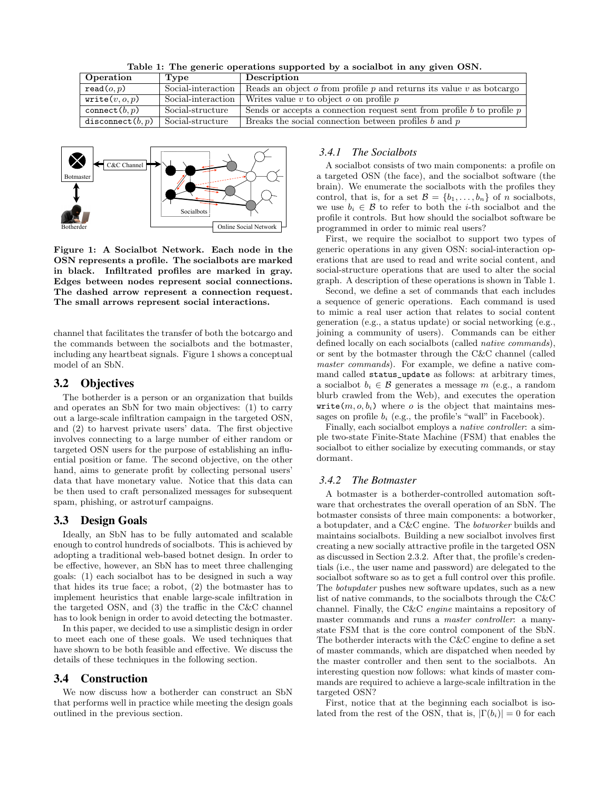Table 1: The generic operations supported by a socialbot in any given OSN.

| Operation        | Type               | Description                                                                     |
|------------------|--------------------|---------------------------------------------------------------------------------|
| read(o, p)       | Social-interaction | Reads an object $\sigma$ from profile $p$ and returns its value $v$ as botcargo |
| write(v, o, p)   | Social-interaction | Writes value $v$ to object $o$ on profile $p$                                   |
| connect(b, p)    | Social-structure   | Sends or accepts a connection request sent from profile b to profile $p$        |
| disconnect(b, p) | Social-structure   | Breaks the social connection between profiles $b$ and $p$                       |



Figure 1: A Socialbot Network. Each node in the OSN represents a profile. The socialbots are marked in black. Infiltrated profiles are marked in gray. Edges between nodes represent social connections. The dashed arrow represent a connection request. The small arrows represent social interactions.

channel that facilitates the transfer of both the botcargo and the commands between the socialbots and the botmaster, including any heartbeat signals. Figure 1 shows a conceptual model of an SbN.

# 3.2 Objectives

The botherder is a person or an organization that builds and operates an SbN for two main objectives: (1) to carry out a large-scale infiltration campaign in the targeted OSN, and (2) to harvest private users' data. The first objective involves connecting to a large number of either random or targeted OSN users for the purpose of establishing an influential position or fame. The second objective, on the other hand, aims to generate profit by collecting personal users' data that have monetary value. Notice that this data can be then used to craft personalized messages for subsequent spam, phishing, or astroturf campaigns.

# 3.3 Design Goals

Ideally, an SbN has to be fully automated and scalable enough to control hundreds of socialbots. This is achieved by adopting a traditional web-based botnet design. In order to be effective, however, an SbN has to meet three challenging goals: (1) each socialbot has to be designed in such a way that hides its true face; a robot, (2) the botmaster has to implement heuristics that enable large-scale infiltration in the targeted OSN, and (3) the traffic in the C&C channel has to look benign in order to avoid detecting the botmaster.

In this paper, we decided to use a simplistic design in order to meet each one of these goals. We used techniques that have shown to be both feasible and effective. We discuss the details of these techniques in the following section.

# 3.4 Construction

We now discuss how a botherder can construct an SbN that performs well in practice while meeting the design goals outlined in the previous section.

## *3.4.1 The Socialbots*

A socialbot consists of two main components: a profile on a targeted OSN (the face), and the socialbot software (the brain). We enumerate the socialbots with the profiles they control, that is, for a set  $\mathcal{B} = \{b_1, \ldots, b_n\}$  of n socialbots, we use  $b_i \in \mathcal{B}$  to refer to both the *i*-th socialbot and the profile it controls. But how should the socialbot software be programmed in order to mimic real users?

First, we require the socialbot to support two types of generic operations in any given OSN: social-interaction operations that are used to read and write social content, and social-structure operations that are used to alter the social graph. A description of these operations is shown in Table 1.

Second, we define a set of commands that each includes a sequence of generic operations. Each command is used to mimic a real user action that relates to social content generation (e.g., a status update) or social networking (e.g., joining a community of users). Commands can be either defined locally on each socialbots (called *native commands*), or sent by the botmaster through the C&C channel (called master commands). For example, we define a native command called status\_update as follows: at arbitrary times, a socialbot  $b_i \in \mathcal{B}$  generates a message m (e.g., a random blurb crawled from the Web), and executes the operation write( $m, o, b_i$ ) where o is the object that maintains messages on profile  $b_i$  (e.g., the profile's "wall" in Facebook).

Finally, each socialbot employs a native controller: a simple two-state Finite-State Machine (FSM) that enables the socialbot to either socialize by executing commands, or stay dormant.

## *3.4.2 The Botmaster*

A botmaster is a botherder-controlled automation software that orchestrates the overall operation of an SbN. The botmaster consists of three main components: a botworker, a botupdater, and a C&C engine. The botworker builds and maintains socialbots. Building a new socialbot involves first creating a new socially attractive profile in the targeted OSN as discussed in Section 2.3.2. After that, the profile's credentials (i.e., the user name and password) are delegated to the socialbot software so as to get a full control over this profile. The botupdater pushes new software updates, such as a new list of native commands, to the socialbots through the C&C channel. Finally, the C&C engine maintains a repository of master commands and runs a master controller: a manystate FSM that is the core control component of the SbN. The botherder interacts with the C&C engine to define a set of master commands, which are dispatched when needed by the master controller and then sent to the socialbots. An interesting question now follows: what kinds of master commands are required to achieve a large-scale infiltration in the targeted OSN?

First, notice that at the beginning each socialbot is isolated from the rest of the OSN, that is,  $|\Gamma(b_i)| = 0$  for each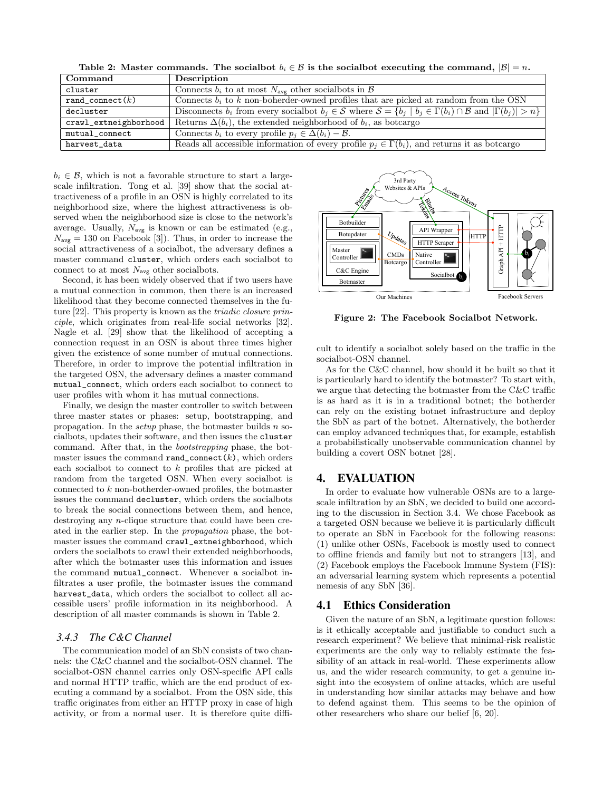| $\bf Command$      | Description                                                                                                                     |  |  |
|--------------------|---------------------------------------------------------------------------------------------------------------------------------|--|--|
| cluster            | Connects $b_i$ to at most $N_{avg}$ other socialbots in $\beta$                                                                 |  |  |
| $rand\_connect(k)$ | Connects $b_i$ to k non-boherder-owned profiles that are picked at random from the OSN                                          |  |  |
| decluster          | Disconnects $b_i$ from every social bot $b_i \in S$ where $S = \{b_i \mid b_i \in \Gamma(b_i) \cap B$ and $ \Gamma(b_i)  > n\}$ |  |  |
|                    | crawl_extneighborhood   Returns $\Delta(b_i)$ , the extended neighborhood of $b_i$ , as botcargo                                |  |  |
| mutual_connect     | Connects $b_i$ to every profile $p_i \in \Delta(b_i) - \mathcal{B}$ .                                                           |  |  |
| harvest_data       | Reads all accessible information of every profile $p_i \in \Gamma(b_i)$ , and returns it as botcargo                            |  |  |

Table 2: Master commands. The socialbot  $b_i \in \mathcal{B}$  is the socialbot executing the command,  $|\mathcal{B}| = n$ .

 $b_i \in \mathcal{B}$ , which is not a favorable structure to start a largescale infiltration. Tong et al. [39] show that the social attractiveness of a profile in an OSN is highly correlated to its neighborhood size, where the highest attractiveness is observed when the neighborhood size is close to the network's average. Usually,  $N_{\text{avg}}$  is known or can be estimated (e.g.,  $N_{\text{avg}} = 130$  on Facebook [3]). Thus, in order to increase the social attractiveness of a socialbot, the adversary defines a master command cluster, which orders each socialbot to connect to at most  $N_{\text{avg}}$  other socialbots.

Second, it has been widely observed that if two users have a mutual connection in common, then there is an increased likelihood that they become connected themselves in the future [22]. This property is known as the triadic closure principle, which originates from real-life social networks [32]. Nagle et al. [29] show that the likelihood of accepting a connection request in an OSN is about three times higher given the existence of some number of mutual connections. Therefore, in order to improve the potential infiltration in the targeted OSN, the adversary defines a master command mutual\_connect, which orders each socialbot to connect to user profiles with whom it has mutual connections.

Finally, we design the master controller to switch between three master states or phases: setup, bootstrapping, and propagation. In the *setup* phase, the botmaster builds  $n$  socialbots, updates their software, and then issues the cluster command. After that, in the bootstrapping phase, the botmaster issues the command rand\_connect $(k)$ , which orders each socialbot to connect to k profiles that are picked at random from the targeted OSN. When every socialbot is connected to k non-botherder-owned profiles, the botmaster issues the command decluster, which orders the socialbots to break the social connections between them, and hence, destroying any *n*-clique structure that could have been created in the earlier step. In the propagation phase, the botmaster issues the command crawl\_extneighborhood, which orders the socialbots to crawl their extended neighborhoods, after which the botmaster uses this information and issues the command mutual\_connect. Whenever a socialbot infiltrates a user profile, the botmaster issues the command harvest\_data, which orders the socialbot to collect all accessible users' profile information in its neighborhood. A description of all master commands is shown in Table 2.

## *3.4.3 The C&C Channel*

The communication model of an SbN consists of two channels: the C&C channel and the socialbot-OSN channel. The socialbot-OSN channel carries only OSN-specific API calls and normal HTTP traffic, which are the end product of executing a command by a socialbot. From the OSN side, this traffic originates from either an HTTP proxy in case of high activity, or from a normal user. It is therefore quite diffi-



Figure 2: The Facebook Socialbot Network.

cult to identify a socialbot solely based on the traffic in the socialbot-OSN channel.

As for the C&C channel, how should it be built so that it is particularly hard to identify the botmaster? To start with, we argue that detecting the botmaster from the C&C traffic is as hard as it is in a traditional botnet; the botherder can rely on the existing botnet infrastructure and deploy the SbN as part of the botnet. Alternatively, the botherder can employ advanced techniques that, for example, establish a probabilistically unobservable communication channel by building a covert OSN botnet [28].

# 4. EVALUATION

In order to evaluate how vulnerable OSNs are to a largescale infiltration by an SbN, we decided to build one according to the discussion in Section 3.4. We chose Facebook as a targeted OSN because we believe it is particularly difficult to operate an SbN in Facebook for the following reasons: (1) unlike other OSNs, Facebook is mostly used to connect to offline friends and family but not to strangers [13], and (2) Facebook employs the Facebook Immune System (FIS): an adversarial learning system which represents a potential nemesis of any SbN [36].

## 4.1 Ethics Consideration

Given the nature of an SbN, a legitimate question follows: is it ethically acceptable and justifiable to conduct such a research experiment? We believe that minimal-risk realistic experiments are the only way to reliably estimate the feasibility of an attack in real-world. These experiments allow us, and the wider research community, to get a genuine insight into the ecosystem of online attacks, which are useful in understanding how similar attacks may behave and how to defend against them. This seems to be the opinion of other researchers who share our belief [6, 20].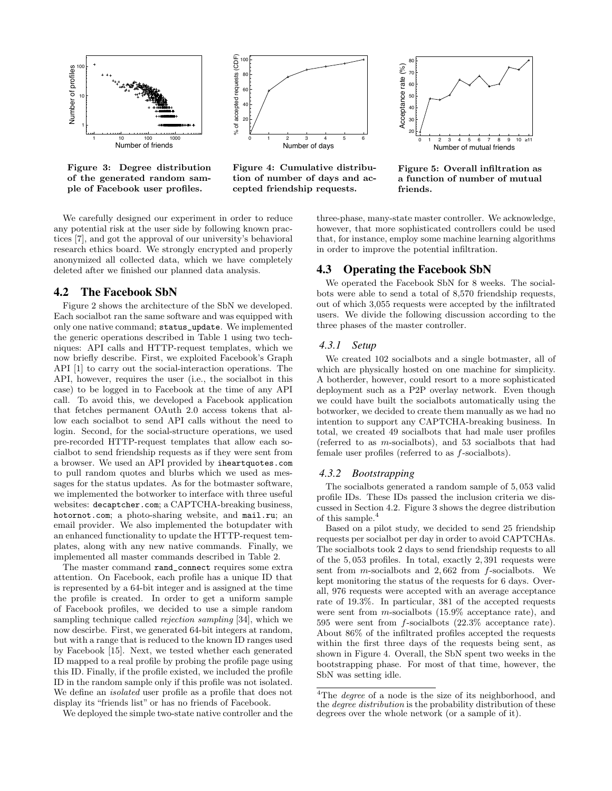

Figure 3: Degree distribution of the generated random sample of Facebook user profiles.



Figure 4: Cumulative distribution of number of days and accepted friendship requests.



Figure 5: Overall infiltration as a function of number of mutual friends.

We carefully designed our experiment in order to reduce any potential risk at the user side by following known practices [7], and got the approval of our university's behavioral research ethics board. We strongly encrypted and properly anonymized all collected data, which we have completely deleted after we finished our planned data analysis.

# 4.2 The Facebook SbN

Figure 2 shows the architecture of the SbN we developed. Each socialbot ran the same software and was equipped with only one native command; status\_update. We implemented the generic operations described in Table 1 using two techniques: API calls and HTTP-request templates, which we now briefly describe. First, we exploited Facebook's Graph API [1] to carry out the social-interaction operations. The API, however, requires the user (i.e., the socialbot in this case) to be logged in to Facebook at the time of any API call. To avoid this, we developed a Facebook application that fetches permanent OAuth 2.0 access tokens that allow each socialbot to send API calls without the need to login. Second, for the social-structure operations, we used pre-recorded HTTP-request templates that allow each socialbot to send friendship requests as if they were sent from a browser. We used an API provided by iheartquotes.com to pull random quotes and blurbs which we used as messages for the status updates. As for the botmaster software, we implemented the botworker to interface with three useful websites: decaptcher.com; a CAPTCHA-breaking business, hotornot.com; a photo-sharing website, and mail.ru; an email provider. We also implemented the botupdater with an enhanced functionality to update the HTTP-request templates, along with any new native commands. Finally, we implemented all master commands described in Table 2.

The master command rand\_connect requires some extra attention. On Facebook, each profile has a unique ID that is represented by a 64-bit integer and is assigned at the time the profile is created. In order to get a uniform sample of Facebook profiles, we decided to use a simple random sampling technique called *rejection sampling* [34], which we now descirbe. First, we generated 64-bit integers at random, but with a range that is reduced to the known ID ranges used by Facebook [15]. Next, we tested whether each generated ID mapped to a real profile by probing the profile page using this ID. Finally, if the profile existed, we included the profile ID in the random sample only if this profile was not isolated. We define an isolated user profile as a profile that does not display its "friends list" or has no friends of Facebook.

We deployed the simple two-state native controller and the

three-phase, many-state master controller. We acknowledge, however, that more sophisticated controllers could be used that, for instance, employ some machine learning algorithms in order to improve the potential infiltration.

# 4.3 Operating the Facebook SbN

We operated the Facebook SbN for 8 weeks. The socialbots were able to send a total of 8,570 friendship requests, out of which 3,055 requests were accepted by the infiltrated users. We divide the following discussion according to the three phases of the master controller.

## *4.3.1 Setup*

We created 102 socialbots and a single botmaster, all of which are physically hosted on one machine for simplicity. A botherder, however, could resort to a more sophisticated deployment such as a P2P overlay network. Even though we could have built the socialbots automatically using the botworker, we decided to create them manually as we had no intention to support any CAPTCHA-breaking business. In total, we created 49 socialbots that had male user profiles (referred to as m-socialbots), and 53 socialbots that had female user profiles (referred to as f-socialbots).

## *4.3.2 Bootstrapping*

The socialbots generated a random sample of 5, 053 valid profile IDs. These IDs passed the inclusion criteria we discussed in Section 4.2. Figure 3 shows the degree distribution of this sample.<sup>4</sup>

Based on a pilot study, we decided to send 25 friendship requests per socialbot per day in order to avoid CAPTCHAs. The socialbots took 2 days to send friendship requests to all of the 5, 053 profiles. In total, exactly 2, 391 requests were sent from  $m$ -socialbots and 2,662 from  $f$ -socialbots. We kept monitoring the status of the requests for 6 days. Overall, 976 requests were accepted with an average acceptance rate of 19.3%. In particular, 381 of the accepted requests were sent from *m*-socialbots  $(15.9\% \text{ acceptance rate})$ , and 595 were sent from f-socialbots (22.3% acceptance rate). About 86% of the infiltrated profiles accepted the requests within the first three days of the requests being sent, as shown in Figure 4. Overall, the SbN spent two weeks in the bootstrapping phase. For most of that time, however, the SbN was setting idle.

<sup>&</sup>lt;sup>4</sup>The *degree* of a node is the size of its neighborhood, and the *degree distribution* is the probability distribution of these degrees over the whole network (or a sample of it).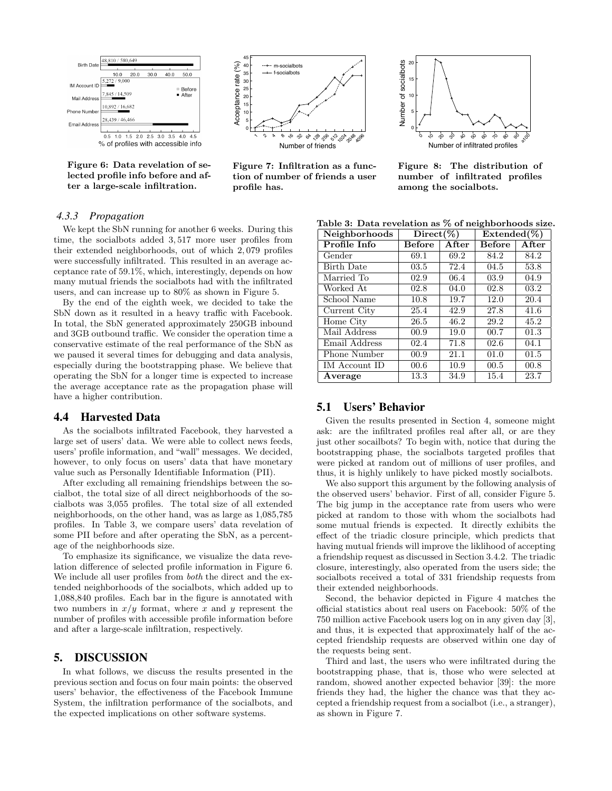

Figure 6: Data revelation of selected profile info before and after a large-scale infiltration.



Figure 7: Infiltration as a function of number of friends a user profile has.



Figure 8: The distribution of number of infiltrated profiles among the socialbots.

## *4.3.3 Propagation*

We kept the SbN running for another 6 weeks. During this time, the socialbots added 3, 517 more user profiles from their extended neighborhoods, out of which 2, 079 profiles were successfully infiltrated. This resulted in an average acceptance rate of 59.1%, which, interestingly, depends on how many mutual friends the socialbots had with the infiltrated users, and can increase up to 80% as shown in Figure 5.

By the end of the eighth week, we decided to take the SbN down as it resulted in a heavy traffic with Facebook. In total, the SbN generated approximately 250GB inbound and 3GB outbound traffic. We consider the operation time a conservative estimate of the real performance of the SbN as we paused it several times for debugging and data analysis, especially during the bootstrapping phase. We believe that operating the SbN for a longer time is expected to increase the average acceptance rate as the propagation phase will have a higher contribution.

# 4.4 Harvested Data

As the socialbots infiltrated Facebook, they harvested a large set of users' data. We were able to collect news feeds, users' profile information, and "wall" messages. We decided, however, to only focus on users' data that have monetary value such as Personally Identifiable Information (PII).

After excluding all remaining friendships between the socialbot, the total size of all direct neighborhoods of the socialbots was 3,055 profiles. The total size of all extended neighborhoods, on the other hand, was as large as 1,085,785 profiles. In Table 3, we compare users' data revelation of some PII before and after operating the SbN, as a percentage of the neighborhoods size.

To emphasize its significance, we visualize the data revelation difference of selected profile information in Figure 6. We include all user profiles from both the direct and the extended neighborhoods of the socialbots, which added up to 1,088,840 profiles. Each bar in the figure is annotated with two numbers in  $x/y$  format, where x and y represent the number of profiles with accessible profile information before and after a large-scale infiltration, respectively.

### 5. DISCUSSION

In what follows, we discuss the results presented in the previous section and focus on four main points: the observed users' behavior, the effectiveness of the Facebook Immune System, the infiltration performance of the socialbots, and the expected implications on other software systems.

Table 3: Data revelation as % of neighborhoods size.

| Neighborhoods     | $Direct (\%)$ |       | $Extended(\%)$ |       |
|-------------------|---------------|-------|----------------|-------|
| Profile Info      | Before        | After | <b>Before</b>  | After |
| Gender            | 69.1          | 69.2  | 84.2           | 84.2  |
| <b>Birth Date</b> | 03.5          | 72.4  | 04.5           | 53.8  |
| Married To        | 02.9          | 06.4  | 03.9           | 04.9  |
| Worked At         | 02.8          | 04.0  | 02.8           | 03.2  |
| School Name       | 10.8          | 19.7  | 12.0           | 20.4  |
| Current City      | 25.4          | 42.9  | 27.8           | 41.6  |
| Home City         | 26.5          | 46.2  | 29.2           | 45.2  |
| Mail Address      | 00.9          | 19.0  | 00.7           | 01.3  |
| Email Address     | 02.4          | 71.8  | 02.6           | 04.1  |
| Phone Number      | 00.9          | 21.1  | 01.0           | 01.5  |
| IM Account ID     | 00.6          | 10.9  | 00.5           | 00.8  |
| Average           | 13.3          | 34.9  | 15.4           | 23.7  |

# 5.1 Users' Behavior

Given the results presented in Section 4, someone might ask: are the infiltrated profiles real after all, or are they just other socailbots? To begin with, notice that during the bootstrapping phase, the socialbots targeted profiles that were picked at random out of millions of user profiles, and thus, it is highly unlikely to have picked mostly socialbots.

We also support this argument by the following analysis of the observed users' behavior. First of all, consider Figure 5. The big jump in the acceptance rate from users who were picked at random to those with whom the socialbots had some mutual friends is expected. It directly exhibits the effect of the triadic closure principle, which predicts that having mutual friends will improve the liklihood of accepting a friendship request as discussed in Section 3.4.2. The triadic closure, interestingly, also operated from the users side; the socialbots received a total of 331 friendship requests from their extended neighborhoods.

Second, the behavior depicted in Figure 4 matches the official statistics about real users on Facebook: 50% of the 750 million active Facebook users log on in any given day [3], and thus, it is expected that approximately half of the accepted friendship requests are observed within one day of the requests being sent.

Third and last, the users who were infiltrated during the bootstrapping phase, that is, those who were selected at random, showed another expected behavior [39]: the more friends they had, the higher the chance was that they accepted a friendship request from a socialbot (i.e., a stranger), as shown in Figure 7.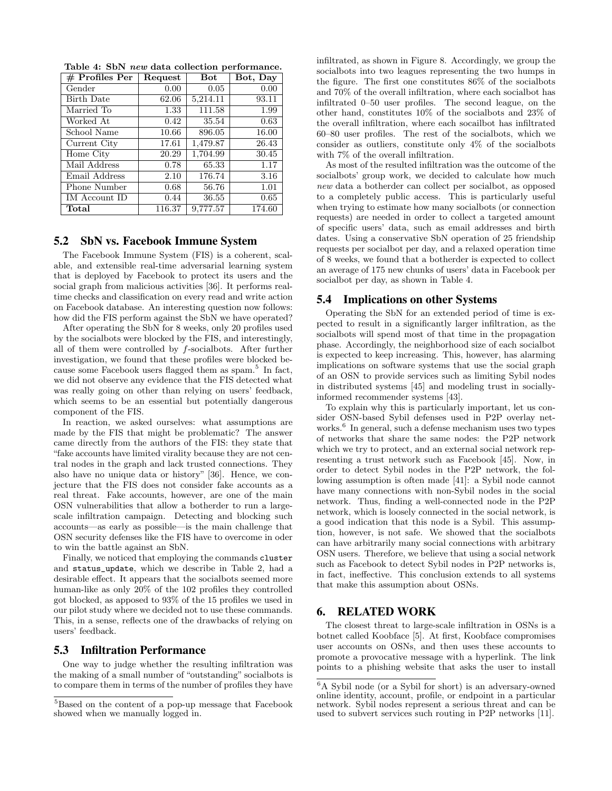| $#$ Profiles Per  | Request | Bot      | Bot, Day |
|-------------------|---------|----------|----------|
| Gender            | 0.00    | 0.05     | 0.00     |
| <b>Birth Date</b> | 62.06   | 5,214.11 | 93.11    |
| Married To        | 1.33    | 111.58   | 1.99     |
| Worked At         | 0.42    | 35.54    | 0.63     |
| School Name       | 10.66   | 896.05   | 16.00    |
| Current City      | 17.61   | 1,479.87 | 26.43    |
| Home City         | 20.29   | 1,704.99 | 30.45    |
| Mail Address      | 0.78    | 65.33    | 1.17     |
| Email Address     | 2.10    | 176.74   | 3.16     |
| Phone Number      | 0.68    | 56.76    | 1.01     |
| IM Account ID     | 0.44    | 36.55    | 0.65     |
| Total             | 116.37  | 9,777.57 | 174.60   |

Table 4: SbN new data collection performance.

# 5.2 SbN vs. Facebook Immune System

The Facebook Immune System (FIS) is a coherent, scalable, and extensible real-time adversarial learning system that is deployed by Facebook to protect its users and the social graph from malicious activities [36]. It performs realtime checks and classification on every read and write action on Facebook database. An interesting question now follows: how did the FIS perform against the SbN we have operated?

After operating the SbN for 8 weeks, only 20 profiles used by the socialbots were blocked by the FIS, and interestingly, all of them were controlled by  $f$ -socialbots. After further investigation, we found that these profiles were blocked because some Facebook users flagged them as spam.<sup>5</sup> In fact, we did not observe any evidence that the FIS detected what was really going on other than relying on users' feedback, which seems to be an essential but potentially dangerous component of the FIS.

In reaction, we asked ourselves: what assumptions are made by the FIS that might be problematic? The answer came directly from the authors of the FIS: they state that "fake accounts have limited virality because they are not central nodes in the graph and lack trusted connections. They also have no unique data or history" [36]. Hence, we conjecture that the FIS does not consider fake accounts as a real threat. Fake accounts, however, are one of the main OSN vulnerabilities that allow a botherder to run a largescale infiltration campaign. Detecting and blocking such accounts—as early as possible—is the main challenge that OSN security defenses like the FIS have to overcome in oder to win the battle against an SbN.

Finally, we noticed that employing the commands cluster and status\_update, which we describe in Table 2, had a desirable effect. It appears that the socialbots seemed more human-like as only 20% of the 102 profiles they controlled got blocked, as apposed to 93% of the 15 profiles we used in our pilot study where we decided not to use these commands. This, in a sense, reflects one of the drawbacks of relying on users' feedback.

## 5.3 Infiltration Performance

One way to judge whether the resulting infiltration was the making of a small number of "outstanding" socialbots is to compare them in terms of the number of profiles they have infiltrated, as shown in Figure 8. Accordingly, we group the socialbots into two leagues representing the two humps in the figure. The first one constitutes 86% of the socialbots and 70% of the overall infiltration, where each socialbot has infiltrated 0–50 user profiles. The second league, on the other hand, constitutes 10% of the socialbots and 23% of the overall infiltration, where each socailbot has infiltrated 60–80 user profiles. The rest of the socialbots, which we consider as outliers, constitute only 4% of the socialbots with 7% of the overall infiltration.

As most of the resulted infiltration was the outcome of the socialbots' group work, we decided to calculate how much new data a botherder can collect per socialbot, as opposed to a completely public access. This is particularly useful when trying to estimate how many socialbots (or connection requests) are needed in order to collect a targeted amount of specific users' data, such as email addresses and birth dates. Using a conservative SbN operation of 25 friendship requests per socialbot per day, and a relaxed operation time of 8 weeks, we found that a botherder is expected to collect an average of 175 new chunks of users' data in Facebook per socialbot per day, as shown in Table 4.

## 5.4 Implications on other Systems

Operating the SbN for an extended period of time is expected to result in a significantly larger infiltration, as the socialbots will spend most of that time in the propagation phase. Accordingly, the neighborhood size of each socialbot is expected to keep increasing. This, however, has alarming implications on software systems that use the social graph of an OSN to provide services such as limiting Sybil nodes in distributed systems [45] and modeling trust in sociallyinformed recommender systems [43].

To explain why this is particularly important, let us consider OSN-based Sybil defenses used in P2P overlay networks.<sup>6</sup> In general, such a defense mechanism uses two types of networks that share the same nodes: the P2P network which we try to protect, and an external social network representing a trust network such as Facebook [45]. Now, in order to detect Sybil nodes in the P2P network, the following assumption is often made [41]: a Sybil node cannot have many connections with non-Sybil nodes in the social network. Thus, finding a well-connected node in the P2P network, which is loosely connected in the social network, is a good indication that this node is a Sybil. This assumption, however, is not safe. We showed that the socialbots can have arbitrarily many social connections with arbitrary OSN users. Therefore, we believe that using a social network such as Facebook to detect Sybil nodes in P2P networks is, in fact, ineffective. This conclusion extends to all systems that make this assumption about OSNs.

# 6. RELATED WORK

The closest threat to large-scale infiltration in OSNs is a botnet called Koobface [5]. At first, Koobface compromises user accounts on OSNs, and then uses these accounts to promote a provocative message with a hyperlink. The link points to a phishing website that asks the user to install

<sup>5</sup>Based on the content of a pop-up message that Facebook showed when we manually logged in.

 $^6\mathrm{A}$  Svbil node (or a Sybil for short) is an adversary-owned online identity, account, profile, or endpoint in a particular network. Sybil nodes represent a serious threat and can be used to subvert services such routing in P2P networks [11].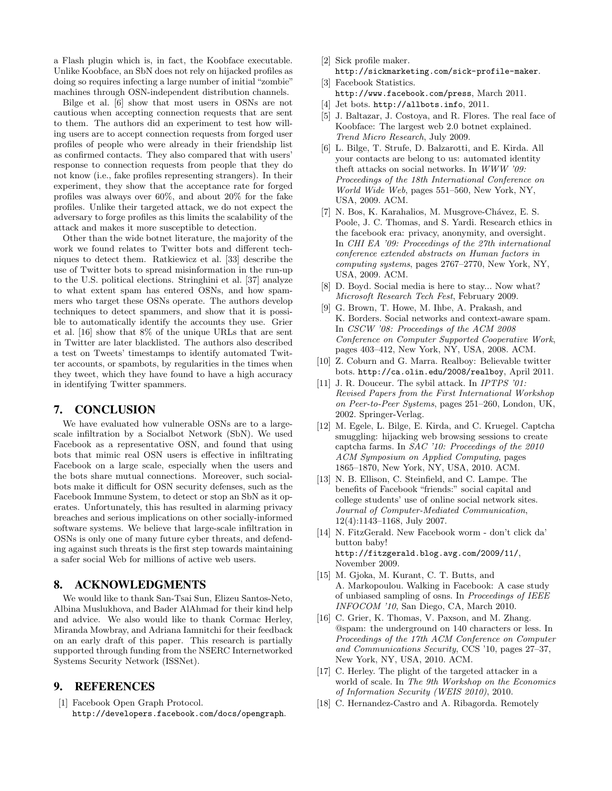a Flash plugin which is, in fact, the Koobface executable. Unlike Koobface, an SbN does not rely on hijacked profiles as doing so requires infecting a large number of initial "zombie" machines through OSN-independent distribution channels.

Bilge et al. [6] show that most users in OSNs are not cautious when accepting connection requests that are sent to them. The authors did an experiment to test how willing users are to accept connection requests from forged user profiles of people who were already in their friendship list as confirmed contacts. They also compared that with users' response to connection requests from people that they do not know (i.e., fake profiles representing strangers). In their experiment, they show that the acceptance rate for forged profiles was always over 60%, and about 20% for the fake profiles. Unlike their targeted attack, we do not expect the adversary to forge profiles as this limits the scalability of the attack and makes it more susceptible to detection.

Other than the wide botnet literature, the majority of the work we found relates to Twitter bots and different techniques to detect them. Ratkiewicz et al. [33] describe the use of Twitter bots to spread misinformation in the run-up to the U.S. political elections. Stringhini et al. [37] analyze to what extent spam has entered OSNs, and how spammers who target these OSNs operate. The authors develop techniques to detect spammers, and show that it is possible to automatically identify the accounts they use. Grier et al. [16] show that 8% of the unique URLs that are sent in Twitter are later blacklisted. The authors also described a test on Tweets' timestamps to identify automated Twitter accounts, or spambots, by regularities in the times when they tweet, which they have found to have a high accuracy in identifying Twitter spammers.

# 7. CONCLUSION

We have evaluated how vulnerable OSNs are to a largescale infiltration by a Socialbot Network (SbN). We used Facebook as a representative OSN, and found that using bots that mimic real OSN users is effective in infiltrating Facebook on a large scale, especially when the users and the bots share mutual connections. Moreover, such socialbots make it difficult for OSN security defenses, such as the Facebook Immune System, to detect or stop an SbN as it operates. Unfortunately, this has resulted in alarming privacy breaches and serious implications on other socially-informed software systems. We believe that large-scale infiltration in OSNs is only one of many future cyber threats, and defending against such threats is the first step towards maintaining a safer social Web for millions of active web users.

# 8. ACKNOWLEDGMENTS

We would like to thank San-Tsai Sun, Elizeu Santos-Neto, Albina Muslukhova, and Bader AlAhmad for their kind help and advice. We also would like to thank Cormac Herley, Miranda Mowbray, and Adriana Iamnitchi for their feedback on an early draft of this paper. This research is partially supported through funding from the NSERC Internetworked Systems Security Network (ISSNet).

# 9. REFERENCES

[1] Facebook Open Graph Protocol. http://developers.facebook.com/docs/opengraph.

- [2] Sick profile maker.
- http://sickmarketing.com/sick-profile-maker. [3] Facebook Statistics.
- http://www.facebook.com/press, March 2011.
- [4] Jet bots. http://allbots.info, 2011.
- [5] J. Baltazar, J. Costoya, and R. Flores. The real face of Koobface: The largest web 2.0 botnet explained. Trend Micro Research, July 2009.
- [6] L. Bilge, T. Strufe, D. Balzarotti, and E. Kirda. All your contacts are belong to us: automated identity theft attacks on social networks. In WWW '09: Proceedings of the 18th International Conference on World Wide Web, pages 551–560, New York, NY, USA, 2009. ACM.
- [7] N. Bos, K. Karahalios, M. Musgrove-Chávez, E. S. Poole, J. C. Thomas, and S. Yardi. Research ethics in the facebook era: privacy, anonymity, and oversight. In CHI EA '09: Proceedings of the 27th international conference extended abstracts on Human factors in computing systems, pages 2767–2770, New York, NY, USA, 2009. ACM.
- [8] D. Boyd. Social media is here to stay... Now what? Microsoft Research Tech Fest, February 2009.
- [9] G. Brown, T. Howe, M. Ihbe, A. Prakash, and K. Borders. Social networks and context-aware spam. In CSCW '08: Proceedings of the ACM 2008 Conference on Computer Supported Cooperative Work, pages 403–412, New York, NY, USA, 2008. ACM.
- [10] Z. Coburn and G. Marra. Realboy: Believable twitter bots. http://ca.olin.edu/2008/realboy, April 2011.
- [11] J. R. Douceur. The sybil attack. In *IPTPS* '01: Revised Papers from the First International Workshop on Peer-to-Peer Systems, pages 251–260, London, UK, 2002. Springer-Verlag.
- [12] M. Egele, L. Bilge, E. Kirda, and C. Kruegel. Captcha smuggling: hijacking web browsing sessions to create captcha farms. In SAC '10: Proceedings of the 2010 ACM Symposium on Applied Computing, pages 1865–1870, New York, NY, USA, 2010. ACM.
- [13] N. B. Ellison, C. Steinfield, and C. Lampe. The benefits of Facebook "friends:" social capital and college students' use of online social network sites. Journal of Computer-Mediated Communication, 12(4):1143–1168, July 2007.
- [14] N. FitzGerald. New Facebook worm don't click da' button baby! http://fitzgerald.blog.avg.com/2009/11/, November 2009.
- [15] M. Gjoka, M. Kurant, C. T. Butts, and A. Markopoulou. Walking in Facebook: A case study of unbiased sampling of osns. In Proceedings of IEEE INFOCOM '10, San Diego, CA, March 2010.
- [16] C. Grier, K. Thomas, V. Paxson, and M. Zhang. @spam: the underground on 140 characters or less. In Proceedings of the 17th ACM Conference on Computer and Communications Security, CCS '10, pages 27–37, New York, NY, USA, 2010. ACM.
- [17] C. Herley. The plight of the targeted attacker in a world of scale. In The 9th Workshop on the Economics of Information Security (WEIS 2010), 2010.
- [18] C. Hernandez-Castro and A. Ribagorda. Remotely